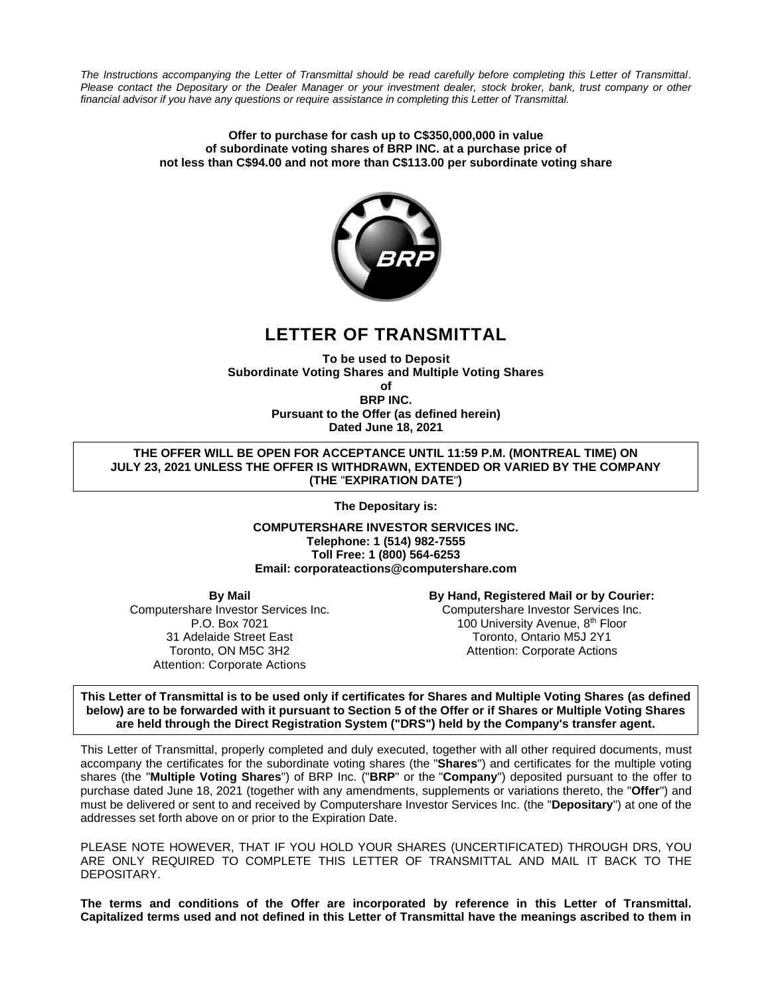*The Instructions accompanying the Letter of Transmittal should be read carefully before completing this Letter of Transmittal. Please contact the Depositary or the Dealer Manager or your investment dealer, stock broker, bank, trust company or other financial advisor if you have any questions or require assistance in completing this Letter of Transmittal.*

#### **Offer to purchase for cash up to C\$350,000,000 in value of subordinate voting shares of BRP INC. at a purchase price of not less than C\$94.00 and not more than C\$113.00 per subordinate voting share**



# **LETTER OF TRANSMITTAL**

**To be used to Deposit Subordinate Voting Shares and Multiple Voting Shares of**

**BRP INC. Pursuant to the Offer (as defined herein) Dated June 18, 2021**

**THE OFFER WILL BE OPEN FOR ACCEPTANCE UNTIL 11:59 P.M. (MONTREAL TIME) ON JULY 23, 2021 UNLESS THE OFFER IS WITHDRAWN, EXTENDED OR VARIED BY THE COMPANY (THE** "**EXPIRATION DATE**"**)**

**The Depositary is:** 

**COMPUTERSHARE INVESTOR SERVICES INC. Telephone: 1 (514) 982-7555 Toll Free: 1 (800) 564-6253 Email: corporateactions@computershare.com**

**By Mail**

Computershare Investor Services Inc. P.O. Box 7021 31 Adelaide Street East Toronto, ON M5C 3H2 Attention: Corporate Actions

# **By Hand, Registered Mail or by Courier:**

Computershare Investor Services Inc. 100 University Avenue, 8<sup>th</sup> Floor Toronto, Ontario M5J 2Y1 Attention: Corporate Actions

**This Letter of Transmittal is to be used only if certificates for Shares and Multiple Voting Shares (as defined below) are to be forwarded with it pursuant to Section 5 of the Offer or if Shares or Multiple Voting Shares are held through the Direct Registration System ("DRS") held by the Company's transfer agent.**

This Letter of Transmittal, properly completed and duly executed, together with all other required documents, must accompany the certificates for the subordinate voting shares (the "**Shares**") and certificates for the multiple voting shares (the "**Multiple Voting Shares**") of BRP Inc. ("**BRP**" or the "**Company**") deposited pursuant to the offer to purchase dated June 18, 2021 (together with any amendments, supplements or variations thereto, the "**Offer**") and must be delivered or sent to and received by Computershare Investor Services Inc. (the "**Depositary**") at one of the addresses set forth above on or prior to the Expiration Date.

PLEASE NOTE HOWEVER, THAT IF YOU HOLD YOUR SHARES (UNCERTIFICATED) THROUGH DRS, YOU ARE ONLY REQUIRED TO COMPLETE THIS LETTER OF TRANSMITTAL AND MAIL IT BACK TO THE DEPOSITARY.

**The terms and conditions of the Offer are incorporated by reference in this Letter of Transmittal. Capitalized terms used and not defined in this Letter of Transmittal have the meanings ascribed to them in**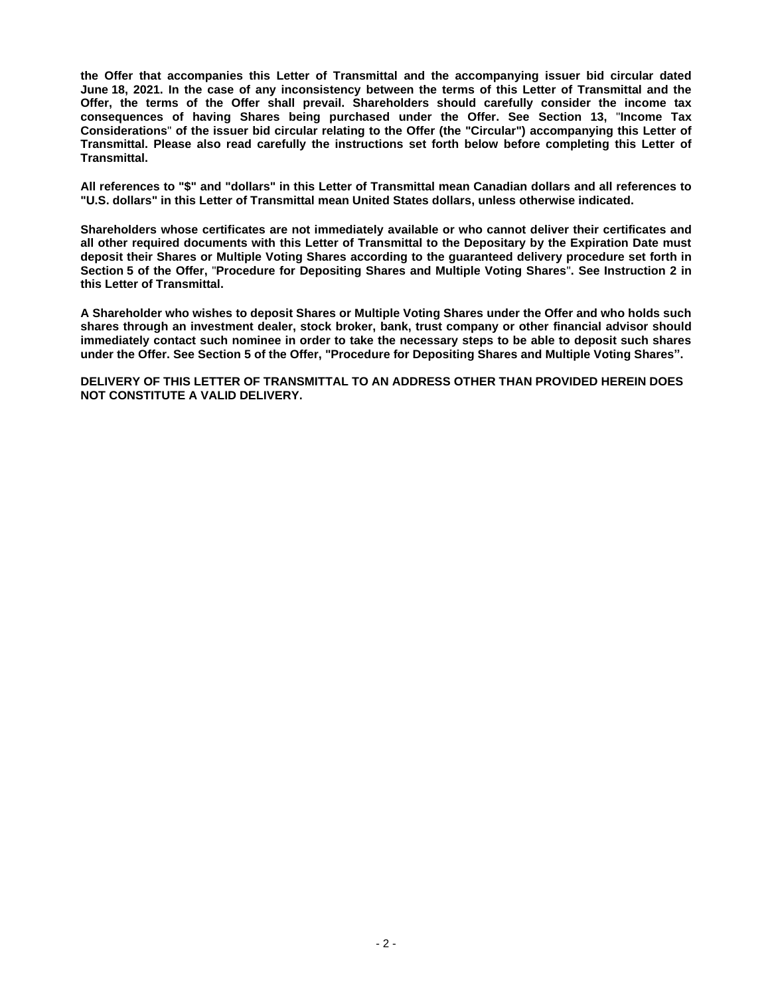**the Offer that accompanies this Letter of Transmittal and the accompanying issuer bid circular dated June 18, 2021. In the case of any inconsistency between the terms of this Letter of Transmittal and the Offer, the terms of the Offer shall prevail. Shareholders should carefully consider the income tax consequences of having Shares being purchased under the Offer. See Section 13,** "**Income Tax Considerations**" **of the issuer bid circular relating to the Offer (the "Circular") accompanying this Letter of Transmittal. Please also read carefully the instructions set forth below before completing this Letter of Transmittal.**

**All references to "\$" and "dollars" in this Letter of Transmittal mean Canadian dollars and all references to "U.S. dollars" in this Letter of Transmittal mean United States dollars, unless otherwise indicated.**

**Shareholders whose certificates are not immediately available or who cannot deliver their certificates and all other required documents with this Letter of Transmittal to the Depositary by the Expiration Date must deposit their Shares or Multiple Voting Shares according to the guaranteed delivery procedure set forth in Section 5 of the Offer,** "**Procedure for Depositing Shares and Multiple Voting Shares**"**. See Instruction 2 in this Letter of Transmittal.**

**A Shareholder who wishes to deposit Shares or Multiple Voting Shares under the Offer and who holds such shares through an investment dealer, stock broker, bank, trust company or other financial advisor should immediately contact such nominee in order to take the necessary steps to be able to deposit such shares under the Offer. See Section 5 of the Offer, "Procedure for Depositing Shares and Multiple Voting Shares".**

**DELIVERY OF THIS LETTER OF TRANSMITTAL TO AN ADDRESS OTHER THAN PROVIDED HEREIN DOES NOT CONSTITUTE A VALID DELIVERY.**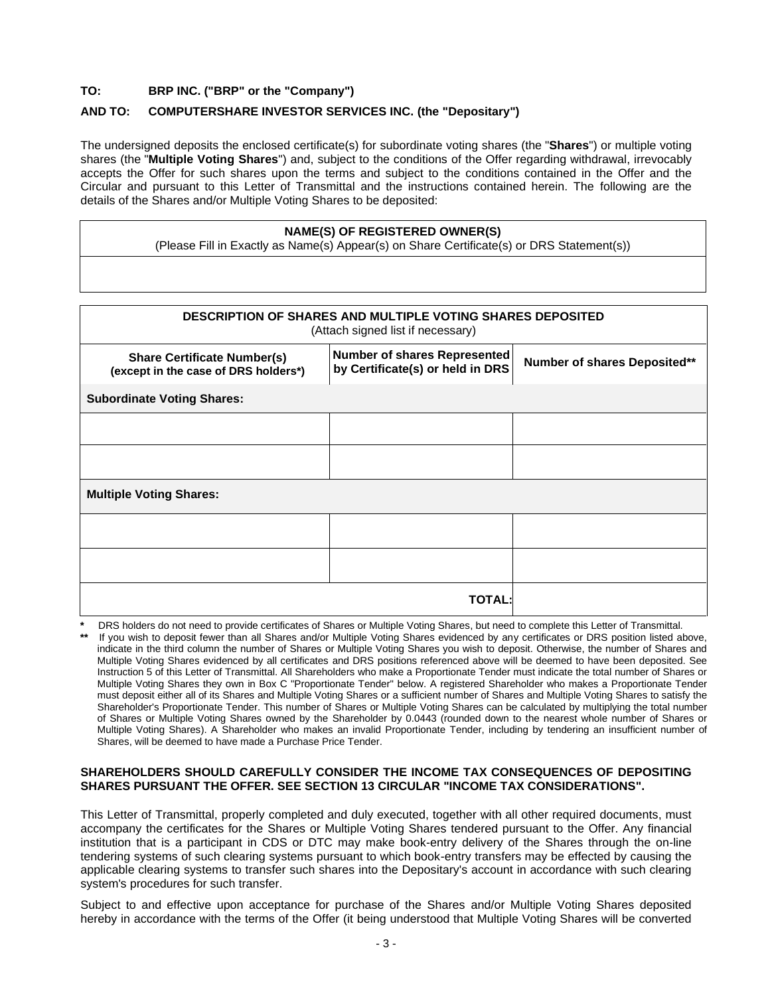# **TO: BRP INC. ("BRP" or the "Company")**

## **AND TO: COMPUTERSHARE INVESTOR SERVICES INC. (the "Depositary")**

The undersigned deposits the enclosed certificate(s) for subordinate voting shares (the "**Shares**") or multiple voting shares (the "**Multiple Voting Shares**") and, subject to the conditions of the Offer regarding withdrawal, irrevocably accepts the Offer for such shares upon the terms and subject to the conditions contained in the Offer and the Circular and pursuant to this Letter of Transmittal and the instructions contained herein. The following are the details of the Shares and/or Multiple Voting Shares to be deposited:

#### **NAME(S) OF REGISTERED OWNER(S)**

(Please Fill in Exactly as Name(s) Appear(s) on Share Certificate(s) or DRS Statement(s))

| <b>DESCRIPTION OF SHARES AND MULTIPLE VOTING SHARES DEPOSITED</b><br>(Attach signed list if necessary) |                                                                                                  |  |  |  |  |  |  |  |
|--------------------------------------------------------------------------------------------------------|--------------------------------------------------------------------------------------------------|--|--|--|--|--|--|--|
| <b>Share Certificate Number(s)</b><br>(except in the case of DRS holders*)                             | Number of shares Represented<br>Number of shares Deposited**<br>by Certificate(s) or held in DRS |  |  |  |  |  |  |  |
| <b>Subordinate Voting Shares:</b>                                                                      |                                                                                                  |  |  |  |  |  |  |  |
|                                                                                                        |                                                                                                  |  |  |  |  |  |  |  |
|                                                                                                        |                                                                                                  |  |  |  |  |  |  |  |
| <b>Multiple Voting Shares:</b>                                                                         |                                                                                                  |  |  |  |  |  |  |  |
|                                                                                                        |                                                                                                  |  |  |  |  |  |  |  |
|                                                                                                        |                                                                                                  |  |  |  |  |  |  |  |
| TOTAL:                                                                                                 |                                                                                                  |  |  |  |  |  |  |  |

**\*** DRS holders do not need to provide certificates of Shares or Multiple Voting Shares, but need to complete this Letter of Transmittal. If you wish to deposit fewer than all Shares and/or Multiple Voting Shares evidenced by any certificates or DRS position listed above, indicate in the third column the number of Shares or Multiple Voting Shares you wish to deposit. Otherwise, the number of Shares and Multiple Voting Shares evidenced by all certificates and DRS positions referenced above will be deemed to have been deposited. See Instruction 5 of this Letter of Transmittal. All Shareholders who make a Proportionate Tender must indicate the total number of Shares or Multiple Voting Shares they own in Box C "Proportionate Tender" below. A registered Shareholder who makes a Proportionate Tender must deposit either all of its Shares and Multiple Voting Shares or a sufficient number of Shares and Multiple Voting Shares to satisfy the Shareholder's Proportionate Tender. This number of Shares or Multiple Voting Shares can be calculated by multiplying the total number of Shares or Multiple Voting Shares owned by the Shareholder by 0.0443 (rounded down to the nearest whole number of Shares or Multiple Voting Shares). A Shareholder who makes an invalid Proportionate Tender, including by tendering an insufficient number of Shares, will be deemed to have made a Purchase Price Tender.

#### **SHAREHOLDERS SHOULD CAREFULLY CONSIDER THE INCOME TAX CONSEQUENCES OF DEPOSITING SHARES PURSUANT THE OFFER. SEE SECTION 13 CIRCULAR "INCOME TAX CONSIDERATIONS".**

This Letter of Transmittal, properly completed and duly executed, together with all other required documents, must accompany the certificates for the Shares or Multiple Voting Shares tendered pursuant to the Offer. Any financial institution that is a participant in CDS or DTC may make book-entry delivery of the Shares through the on-line tendering systems of such clearing systems pursuant to which book-entry transfers may be effected by causing the applicable clearing systems to transfer such shares into the Depositary's account in accordance with such clearing system's procedures for such transfer.

Subject to and effective upon acceptance for purchase of the Shares and/or Multiple Voting Shares deposited hereby in accordance with the terms of the Offer (it being understood that Multiple Voting Shares will be converted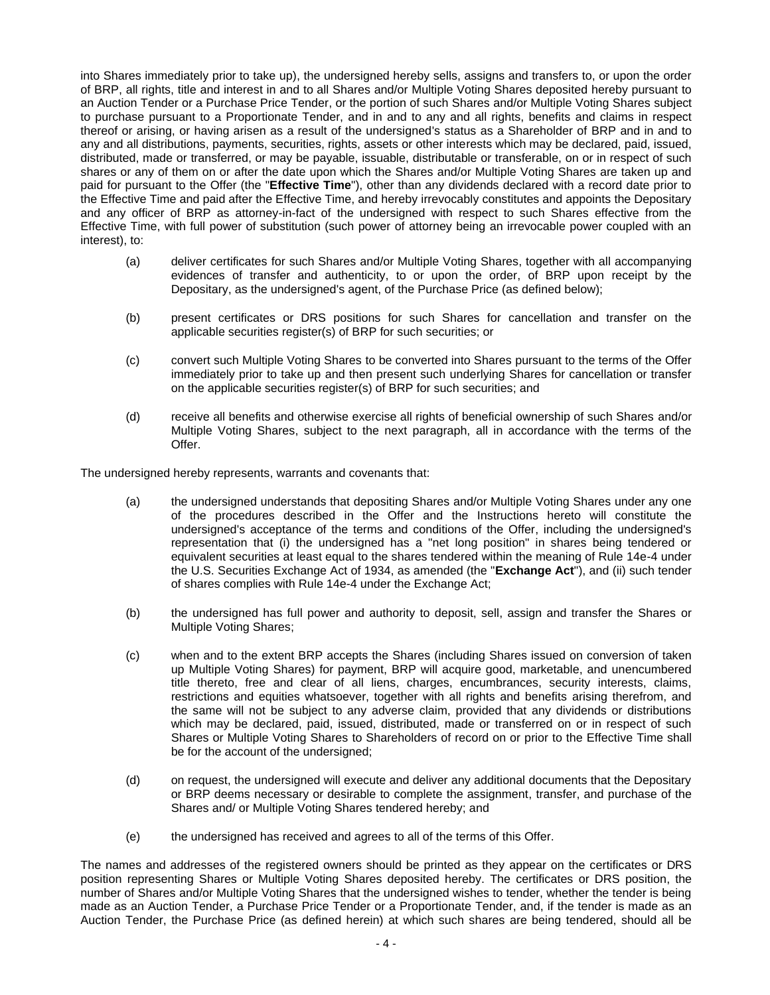into Shares immediately prior to take up), the undersigned hereby sells, assigns and transfers to, or upon the order of BRP, all rights, title and interest in and to all Shares and/or Multiple Voting Shares deposited hereby pursuant to an Auction Tender or a Purchase Price Tender, or the portion of such Shares and/or Multiple Voting Shares subject to purchase pursuant to a Proportionate Tender, and in and to any and all rights, benefits and claims in respect thereof or arising, or having arisen as a result of the undersigned's status as a Shareholder of BRP and in and to any and all distributions, payments, securities, rights, assets or other interests which may be declared, paid, issued, distributed, made or transferred, or may be payable, issuable, distributable or transferable, on or in respect of such shares or any of them on or after the date upon which the Shares and/or Multiple Voting Shares are taken up and paid for pursuant to the Offer (the "**Effective Time**"), other than any dividends declared with a record date prior to the Effective Time and paid after the Effective Time, and hereby irrevocably constitutes and appoints the Depositary and any officer of BRP as attorney-in-fact of the undersigned with respect to such Shares effective from the Effective Time, with full power of substitution (such power of attorney being an irrevocable power coupled with an interest), to:

- (a) deliver certificates for such Shares and/or Multiple Voting Shares, together with all accompanying evidences of transfer and authenticity, to or upon the order, of BRP upon receipt by the Depositary, as the undersigned's agent, of the Purchase Price (as defined below);
- (b) present certificates or DRS positions for such Shares for cancellation and transfer on the applicable securities register(s) of BRP for such securities; or
- (c) convert such Multiple Voting Shares to be converted into Shares pursuant to the terms of the Offer immediately prior to take up and then present such underlying Shares for cancellation or transfer on the applicable securities register(s) of BRP for such securities; and
- (d) receive all benefits and otherwise exercise all rights of beneficial ownership of such Shares and/or Multiple Voting Shares, subject to the next paragraph, all in accordance with the terms of the Offer.

The undersigned hereby represents, warrants and covenants that:

- (a) the undersigned understands that depositing Shares and/or Multiple Voting Shares under any one of the procedures described in the Offer and the Instructions hereto will constitute the undersigned's acceptance of the terms and conditions of the Offer, including the undersigned's representation that (i) the undersigned has a "net long position" in shares being tendered or equivalent securities at least equal to the shares tendered within the meaning of Rule 14e-4 under the U.S. Securities Exchange Act of 1934, as amended (the "**Exchange Act**"), and (ii) such tender of shares complies with Rule 14e-4 under the Exchange Act;
- (b) the undersigned has full power and authority to deposit, sell, assign and transfer the Shares or Multiple Voting Shares;
- (c) when and to the extent BRP accepts the Shares (including Shares issued on conversion of taken up Multiple Voting Shares) for payment, BRP will acquire good, marketable, and unencumbered title thereto, free and clear of all liens, charges, encumbrances, security interests, claims, restrictions and equities whatsoever, together with all rights and benefits arising therefrom, and the same will not be subject to any adverse claim, provided that any dividends or distributions which may be declared, paid, issued, distributed, made or transferred on or in respect of such Shares or Multiple Voting Shares to Shareholders of record on or prior to the Effective Time shall be for the account of the undersigned;
- (d) on request, the undersigned will execute and deliver any additional documents that the Depositary or BRP deems necessary or desirable to complete the assignment, transfer, and purchase of the Shares and/ or Multiple Voting Shares tendered hereby; and
- (e) the undersigned has received and agrees to all of the terms of this Offer.

The names and addresses of the registered owners should be printed as they appear on the certificates or DRS position representing Shares or Multiple Voting Shares deposited hereby. The certificates or DRS position, the number of Shares and/or Multiple Voting Shares that the undersigned wishes to tender, whether the tender is being made as an Auction Tender, a Purchase Price Tender or a Proportionate Tender, and, if the tender is made as an Auction Tender, the Purchase Price (as defined herein) at which such shares are being tendered, should all be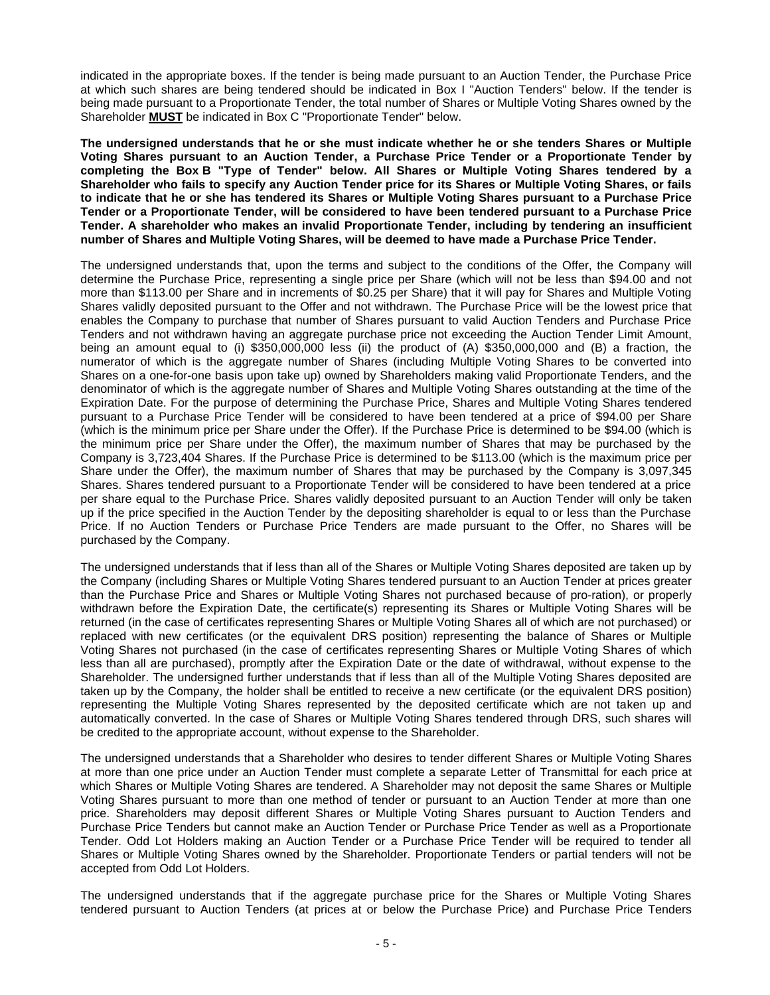indicated in the appropriate boxes. If the tender is being made pursuant to an Auction Tender, the Purchase Price at which such shares are being tendered should be indicated in Box I "Auction Tenders" below. If the tender is being made pursuant to a Proportionate Tender, the total number of Shares or Multiple Voting Shares owned by the Shareholder **MUST** be indicated in Box C "Proportionate Tender" below.

**The undersigned understands that he or she must indicate whether he or she tenders Shares or Multiple Voting Shares pursuant to an Auction Tender, a Purchase Price Tender or a Proportionate Tender by completing the Box B "Type of Tender" below. All Shares or Multiple Voting Shares tendered by a Shareholder who fails to specify any Auction Tender price for its Shares or Multiple Voting Shares, or fails to indicate that he or she has tendered its Shares or Multiple Voting Shares pursuant to a Purchase Price Tender or a Proportionate Tender, will be considered to have been tendered pursuant to a Purchase Price Tender. A shareholder who makes an invalid Proportionate Tender, including by tendering an insufficient number of Shares and Multiple Voting Shares, will be deemed to have made a Purchase Price Tender.**

The undersigned understands that, upon the terms and subject to the conditions of the Offer, the Company will determine the Purchase Price, representing a single price per Share (which will not be less than \$94.00 and not more than \$113.00 per Share and in increments of \$0.25 per Share) that it will pay for Shares and Multiple Voting Shares validly deposited pursuant to the Offer and not withdrawn. The Purchase Price will be the lowest price that enables the Company to purchase that number of Shares pursuant to valid Auction Tenders and Purchase Price Tenders and not withdrawn having an aggregate purchase price not exceeding the Auction Tender Limit Amount, being an amount equal to (i) \$350,000,000 less (ii) the product of (A) \$350,000,000 and (B) a fraction, the numerator of which is the aggregate number of Shares (including Multiple Voting Shares to be converted into Shares on a one-for-one basis upon take up) owned by Shareholders making valid Proportionate Tenders, and the denominator of which is the aggregate number of Shares and Multiple Voting Shares outstanding at the time of the Expiration Date. For the purpose of determining the Purchase Price, Shares and Multiple Voting Shares tendered pursuant to a Purchase Price Tender will be considered to have been tendered at a price of \$94.00 per Share (which is the minimum price per Share under the Offer). If the Purchase Price is determined to be \$94.00 (which is the minimum price per Share under the Offer), the maximum number of Shares that may be purchased by the Company is 3,723,404 Shares. If the Purchase Price is determined to be \$113.00 (which is the maximum price per Share under the Offer), the maximum number of Shares that may be purchased by the Company is 3,097,345 Shares. Shares tendered pursuant to a Proportionate Tender will be considered to have been tendered at a price per share equal to the Purchase Price. Shares validly deposited pursuant to an Auction Tender will only be taken up if the price specified in the Auction Tender by the depositing shareholder is equal to or less than the Purchase Price. If no Auction Tenders or Purchase Price Tenders are made pursuant to the Offer, no Shares will be purchased by the Company.

The undersigned understands that if less than all of the Shares or Multiple Voting Shares deposited are taken up by the Company (including Shares or Multiple Voting Shares tendered pursuant to an Auction Tender at prices greater than the Purchase Price and Shares or Multiple Voting Shares not purchased because of pro-ration), or properly withdrawn before the Expiration Date, the certificate(s) representing its Shares or Multiple Voting Shares will be returned (in the case of certificates representing Shares or Multiple Voting Shares all of which are not purchased) or replaced with new certificates (or the equivalent DRS position) representing the balance of Shares or Multiple Voting Shares not purchased (in the case of certificates representing Shares or Multiple Voting Shares of which less than all are purchased), promptly after the Expiration Date or the date of withdrawal, without expense to the Shareholder. The undersigned further understands that if less than all of the Multiple Voting Shares deposited are taken up by the Company, the holder shall be entitled to receive a new certificate (or the equivalent DRS position) representing the Multiple Voting Shares represented by the deposited certificate which are not taken up and automatically converted. In the case of Shares or Multiple Voting Shares tendered through DRS, such shares will be credited to the appropriate account, without expense to the Shareholder.

The undersigned understands that a Shareholder who desires to tender different Shares or Multiple Voting Shares at more than one price under an Auction Tender must complete a separate Letter of Transmittal for each price at which Shares or Multiple Voting Shares are tendered. A Shareholder may not deposit the same Shares or Multiple Voting Shares pursuant to more than one method of tender or pursuant to an Auction Tender at more than one price. Shareholders may deposit different Shares or Multiple Voting Shares pursuant to Auction Tenders and Purchase Price Tenders but cannot make an Auction Tender or Purchase Price Tender as well as a Proportionate Tender. Odd Lot Holders making an Auction Tender or a Purchase Price Tender will be required to tender all Shares or Multiple Voting Shares owned by the Shareholder. Proportionate Tenders or partial tenders will not be accepted from Odd Lot Holders.

The undersigned understands that if the aggregate purchase price for the Shares or Multiple Voting Shares tendered pursuant to Auction Tenders (at prices at or below the Purchase Price) and Purchase Price Tenders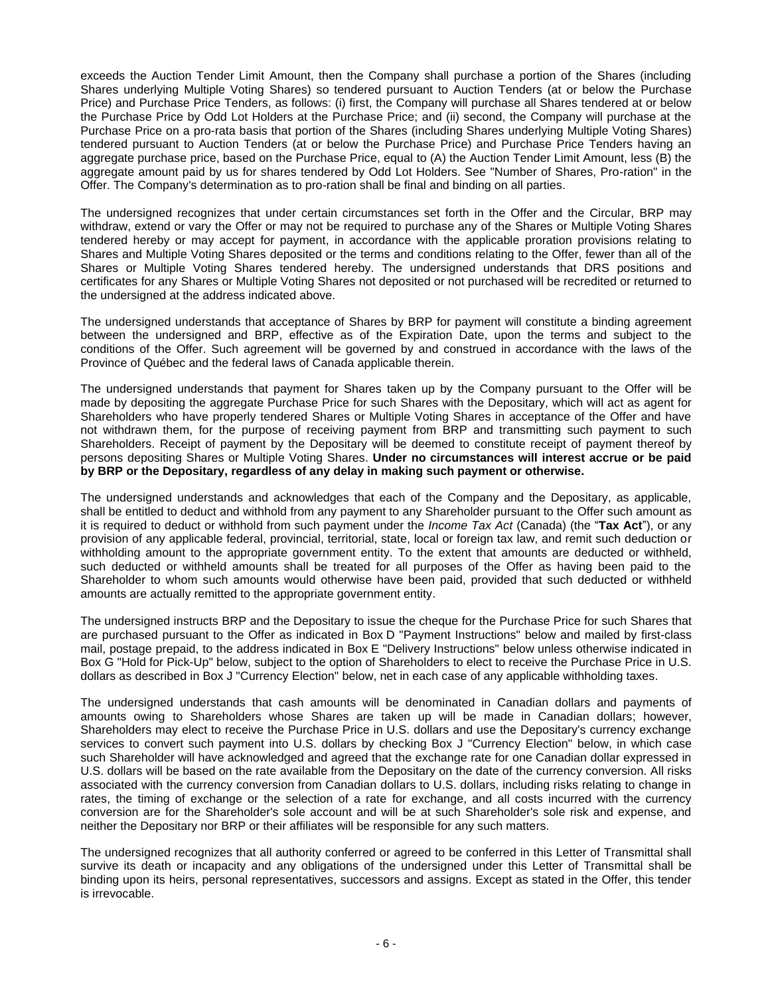exceeds the Auction Tender Limit Amount, then the Company shall purchase a portion of the Shares (including Shares underlying Multiple Voting Shares) so tendered pursuant to Auction Tenders (at or below the Purchase Price) and Purchase Price Tenders, as follows: (i) first, the Company will purchase all Shares tendered at or below the Purchase Price by Odd Lot Holders at the Purchase Price; and (ii) second, the Company will purchase at the Purchase Price on a pro-rata basis that portion of the Shares (including Shares underlying Multiple Voting Shares) tendered pursuant to Auction Tenders (at or below the Purchase Price) and Purchase Price Tenders having an aggregate purchase price, based on the Purchase Price, equal to (A) the Auction Tender Limit Amount, less (B) the aggregate amount paid by us for shares tendered by Odd Lot Holders. See "Number of Shares, Pro-ration" in the Offer. The Company's determination as to pro-ration shall be final and binding on all parties.

The undersigned recognizes that under certain circumstances set forth in the Offer and the Circular, BRP may withdraw, extend or vary the Offer or may not be required to purchase any of the Shares or Multiple Voting Shares tendered hereby or may accept for payment, in accordance with the applicable proration provisions relating to Shares and Multiple Voting Shares deposited or the terms and conditions relating to the Offer, fewer than all of the Shares or Multiple Voting Shares tendered hereby. The undersigned understands that DRS positions and certificates for any Shares or Multiple Voting Shares not deposited or not purchased will be recredited or returned to the undersigned at the address indicated above.

The undersigned understands that acceptance of Shares by BRP for payment will constitute a binding agreement between the undersigned and BRP, effective as of the Expiration Date, upon the terms and subject to the conditions of the Offer. Such agreement will be governed by and construed in accordance with the laws of the Province of Québec and the federal laws of Canada applicable therein.

The undersigned understands that payment for Shares taken up by the Company pursuant to the Offer will be made by depositing the aggregate Purchase Price for such Shares with the Depositary, which will act as agent for Shareholders who have properly tendered Shares or Multiple Voting Shares in acceptance of the Offer and have not withdrawn them, for the purpose of receiving payment from BRP and transmitting such payment to such Shareholders. Receipt of payment by the Depositary will be deemed to constitute receipt of payment thereof by persons depositing Shares or Multiple Voting Shares. **Under no circumstances will interest accrue or be paid by BRP or the Depositary, regardless of any delay in making such payment or otherwise.**

The undersigned understands and acknowledges that each of the Company and the Depositary, as applicable, shall be entitled to deduct and withhold from any payment to any Shareholder pursuant to the Offer such amount as it is required to deduct or withhold from such payment under the *Income Tax Act* (Canada) (the "**Tax Act**"), or any provision of any applicable federal, provincial, territorial, state, local or foreign tax law, and remit such deduction or withholding amount to the appropriate government entity. To the extent that amounts are deducted or withheld, such deducted or withheld amounts shall be treated for all purposes of the Offer as having been paid to the Shareholder to whom such amounts would otherwise have been paid, provided that such deducted or withheld amounts are actually remitted to the appropriate government entity.

The undersigned instructs BRP and the Depositary to issue the cheque for the Purchase Price for such Shares that are purchased pursuant to the Offer as indicated in Box D "Payment Instructions" below and mailed by first-class mail, postage prepaid, to the address indicated in Box E "Delivery Instructions" below unless otherwise indicated in Box G "Hold for Pick-Up" below, subject to the option of Shareholders to elect to receive the Purchase Price in U.S. dollars as described in Box J "Currency Election" below, net in each case of any applicable withholding taxes.

The undersigned understands that cash amounts will be denominated in Canadian dollars and payments of amounts owing to Shareholders whose Shares are taken up will be made in Canadian dollars; however, Shareholders may elect to receive the Purchase Price in U.S. dollars and use the Depositary's currency exchange services to convert such payment into U.S. dollars by checking Box J "Currency Election" below, in which case such Shareholder will have acknowledged and agreed that the exchange rate for one Canadian dollar expressed in U.S. dollars will be based on the rate available from the Depositary on the date of the currency conversion. All risks associated with the currency conversion from Canadian dollars to U.S. dollars, including risks relating to change in rates, the timing of exchange or the selection of a rate for exchange, and all costs incurred with the currency conversion are for the Shareholder's sole account and will be at such Shareholder's sole risk and expense, and neither the Depositary nor BRP or their affiliates will be responsible for any such matters.

The undersigned recognizes that all authority conferred or agreed to be conferred in this Letter of Transmittal shall survive its death or incapacity and any obligations of the undersigned under this Letter of Transmittal shall be binding upon its heirs, personal representatives, successors and assigns. Except as stated in the Offer, this tender is irrevocable.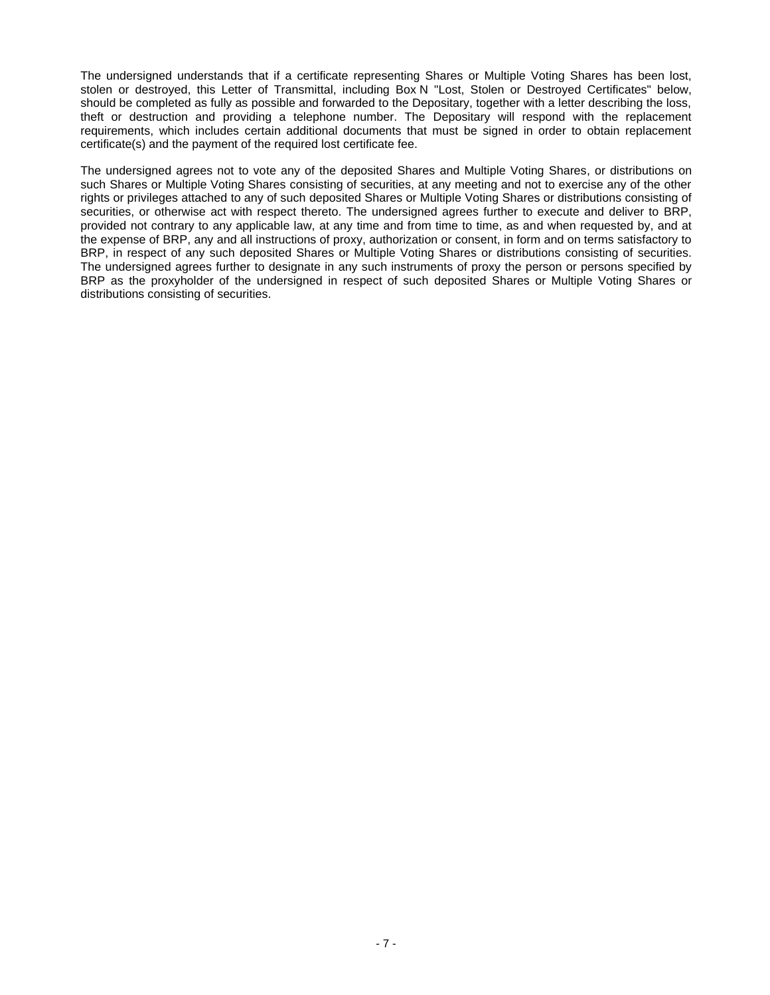The undersigned understands that if a certificate representing Shares or Multiple Voting Shares has been lost, stolen or destroyed, this Letter of Transmittal, including Box N "Lost, Stolen or Destroyed Certificates" below, should be completed as fully as possible and forwarded to the Depositary, together with a letter describing the loss, theft or destruction and providing a telephone number. The Depositary will respond with the replacement requirements, which includes certain additional documents that must be signed in order to obtain replacement certificate(s) and the payment of the required lost certificate fee.

The undersigned agrees not to vote any of the deposited Shares and Multiple Voting Shares, or distributions on such Shares or Multiple Voting Shares consisting of securities, at any meeting and not to exercise any of the other rights or privileges attached to any of such deposited Shares or Multiple Voting Shares or distributions consisting of securities, or otherwise act with respect thereto. The undersigned agrees further to execute and deliver to BRP, provided not contrary to any applicable law, at any time and from time to time, as and when requested by, and at the expense of BRP, any and all instructions of proxy, authorization or consent, in form and on terms satisfactory to BRP, in respect of any such deposited Shares or Multiple Voting Shares or distributions consisting of securities. The undersigned agrees further to designate in any such instruments of proxy the person or persons specified by BRP as the proxyholder of the undersigned in respect of such deposited Shares or Multiple Voting Shares or distributions consisting of securities.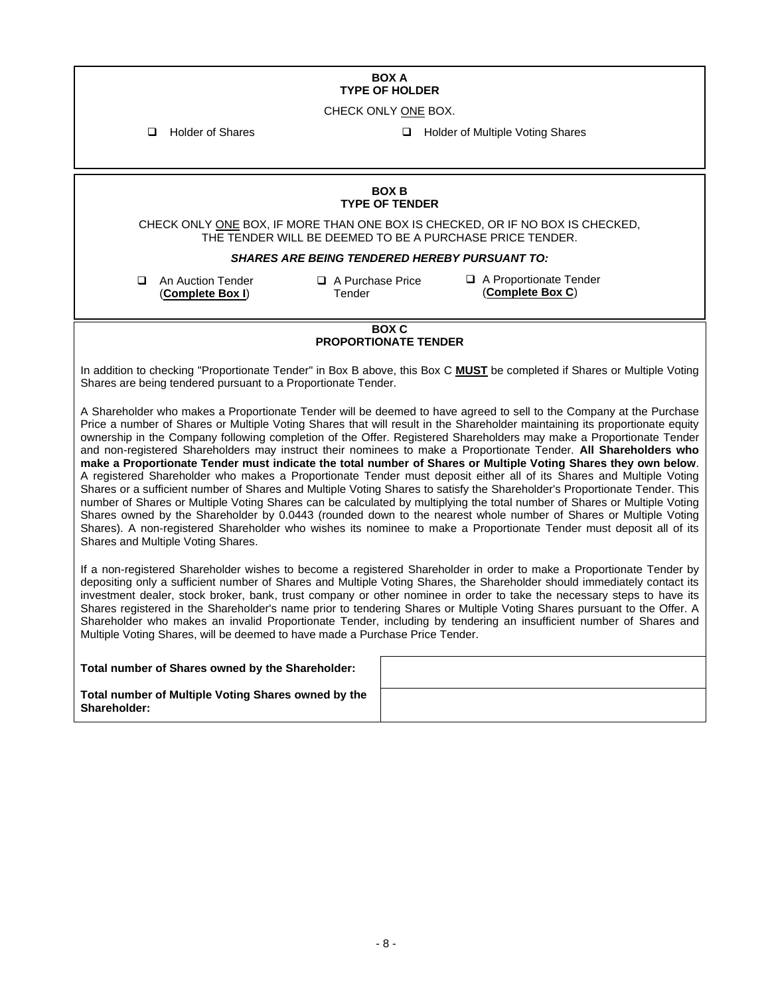#### **BOX A TYPE OF HOLDER**

CHECK ONLY ONE BOX.

❑ Holder of Shares ❑ Holder of Multiple Voting Shares

#### **BOX B TYPE OF TENDER**

CHECK ONLY ONE BOX, IF MORE THAN ONE BOX IS CHECKED, OR IF NO BOX IS CHECKED, THE TENDER WILL BE DEEMED TO BE A PURCHASE PRICE TENDER.

#### *SHARES ARE BEING TENDERED HEREBY PURSUANT TO:*

❑ An Auction Tender (**Complete Box I**)

❑ A Purchase Price Tender

❑ A Proportionate Tender (**Complete Box C**)

#### **BOX C PROPORTIONATE TENDER**

In addition to checking "Proportionate Tender" in Box B above, this Box C **MUST** be completed if Shares or Multiple Voting Shares are being tendered pursuant to a Proportionate Tender.

A Shareholder who makes a Proportionate Tender will be deemed to have agreed to sell to the Company at the Purchase Price a number of Shares or Multiple Voting Shares that will result in the Shareholder maintaining its proportionate equity ownership in the Company following completion of the Offer. Registered Shareholders may make a Proportionate Tender and non-registered Shareholders may instruct their nominees to make a Proportionate Tender. **All Shareholders who make a Proportionate Tender must indicate the total number of Shares or Multiple Voting Shares they own below**. A registered Shareholder who makes a Proportionate Tender must deposit either all of its Shares and Multiple Voting Shares or a sufficient number of Shares and Multiple Voting Shares to satisfy the Shareholder's Proportionate Tender. This number of Shares or Multiple Voting Shares can be calculated by multiplying the total number of Shares or Multiple Voting Shares owned by the Shareholder by 0.0443 (rounded down to the nearest whole number of Shares or Multiple Voting Shares). A non-registered Shareholder who wishes its nominee to make a Proportionate Tender must deposit all of its Shares and Multiple Voting Shares.

If a non-registered Shareholder wishes to become a registered Shareholder in order to make a Proportionate Tender by depositing only a sufficient number of Shares and Multiple Voting Shares, the Shareholder should immediately contact its investment dealer, stock broker, bank, trust company or other nominee in order to take the necessary steps to have its Shares registered in the Shareholder's name prior to tendering Shares or Multiple Voting Shares pursuant to the Offer. A Shareholder who makes an invalid Proportionate Tender, including by tendering an insufficient number of Shares and Multiple Voting Shares, will be deemed to have made a Purchase Price Tender.

| Total number of Shares owned by the Shareholder:                           |  |
|----------------------------------------------------------------------------|--|
| Total number of Multiple Voting Shares owned by the<br><b>Shareholder:</b> |  |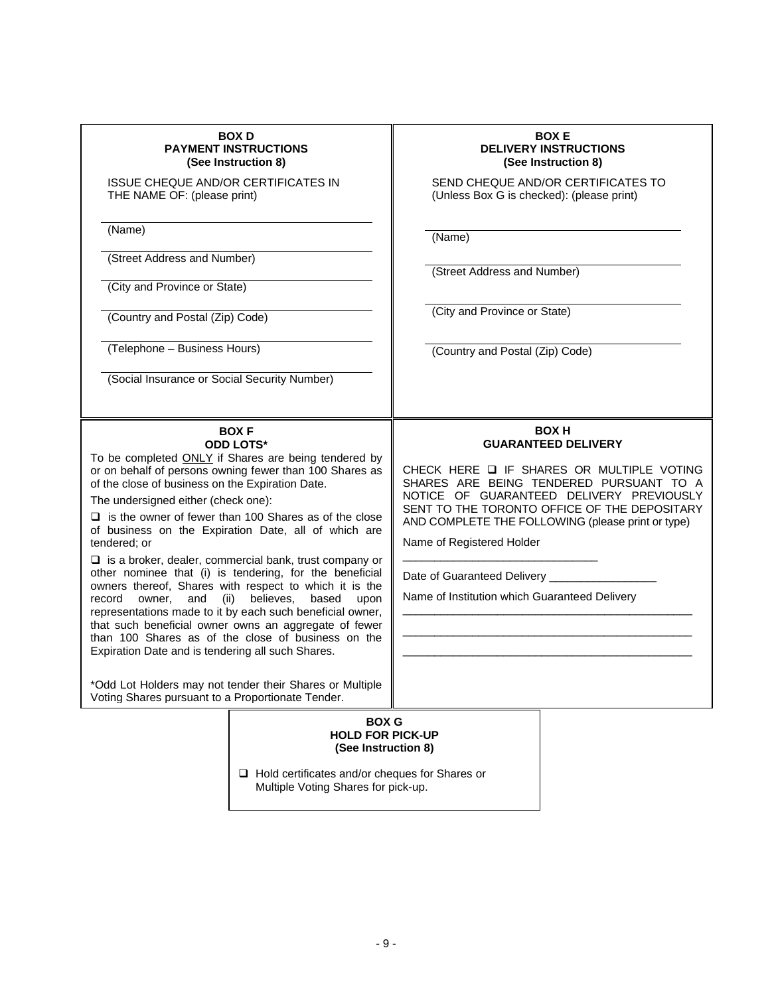| <b>BOX D</b><br><b>PAYMENT INSTRUCTIONS</b><br>(See Instruction 8)<br><b>ISSUE CHEQUE AND/OR CERTIFICATES IN</b><br>THE NAME OF: (please print)<br>(Name)<br>(Street Address and Number)<br>(City and Province or State)<br>(Country and Postal (Zip) Code)<br>(Telephone - Business Hours)<br>(Social Insurance or Social Security Number)                                                                                                                                                                                                                                                                                                                                                                                                                                                                                                                                                                                                                                                    | <b>BOXE</b><br><b>DELIVERY INSTRUCTIONS</b><br>(See Instruction 8)<br>SEND CHEQUE AND/OR CERTIFICATES TO<br>(Unless Box G is checked): (please print)<br>(Name)<br>(Street Address and Number)<br>(City and Province or State)<br>(Country and Postal (Zip) Code)                                                                                                                                         |  |  |  |  |
|------------------------------------------------------------------------------------------------------------------------------------------------------------------------------------------------------------------------------------------------------------------------------------------------------------------------------------------------------------------------------------------------------------------------------------------------------------------------------------------------------------------------------------------------------------------------------------------------------------------------------------------------------------------------------------------------------------------------------------------------------------------------------------------------------------------------------------------------------------------------------------------------------------------------------------------------------------------------------------------------|-----------------------------------------------------------------------------------------------------------------------------------------------------------------------------------------------------------------------------------------------------------------------------------------------------------------------------------------------------------------------------------------------------------|--|--|--|--|
| <b>BOXF</b><br><b>ODD LOTS*</b><br>To be completed ONLY if Shares are being tendered by<br>or on behalf of persons owning fewer than 100 Shares as<br>of the close of business on the Expiration Date.<br>The undersigned either (check one):<br>$\Box$ is the owner of fewer than 100 Shares as of the close<br>of business on the Expiration Date, all of which are<br>tendered; or<br>$\Box$ is a broker, dealer, commercial bank, trust company or<br>other nominee that (i) is tendering, for the beneficial<br>owners thereof, Shares with respect to which it is the<br>believes,<br>record<br>owner,<br>and<br>(ii)<br>based<br>upon<br>representations made to it by each such beneficial owner,<br>that such beneficial owner owns an aggregate of fewer<br>than 100 Shares as of the close of business on the<br>Expiration Date and is tendering all such Shares.<br>*Odd Lot Holders may not tender their Shares or Multiple<br>Voting Shares pursuant to a Proportionate Tender. | <b>BOX H</b><br><b>GUARANTEED DELIVERY</b><br>CHECK HERE Q IF SHARES OR MULTIPLE VOTING<br>SHARES ARE BEING TENDERED PURSUANT TO A<br>NOTICE OF GUARANTEED DELIVERY PREVIOUSLY<br>SENT TO THE TORONTO OFFICE OF THE DEPOSITARY<br>AND COMPLETE THE FOLLOWING (please print or type)<br>Name of Registered Holder<br>Date of Guaranteed Delivery ________<br>Name of Institution which Guaranteed Delivery |  |  |  |  |
| <b>BOX G</b><br><b>HOLD FOR PICK-UP</b><br>(See Instruction 8)                                                                                                                                                                                                                                                                                                                                                                                                                                                                                                                                                                                                                                                                                                                                                                                                                                                                                                                                 |                                                                                                                                                                                                                                                                                                                                                                                                           |  |  |  |  |

❑ Hold certificates and/or cheques for Shares or Multiple Voting Shares for pick-up.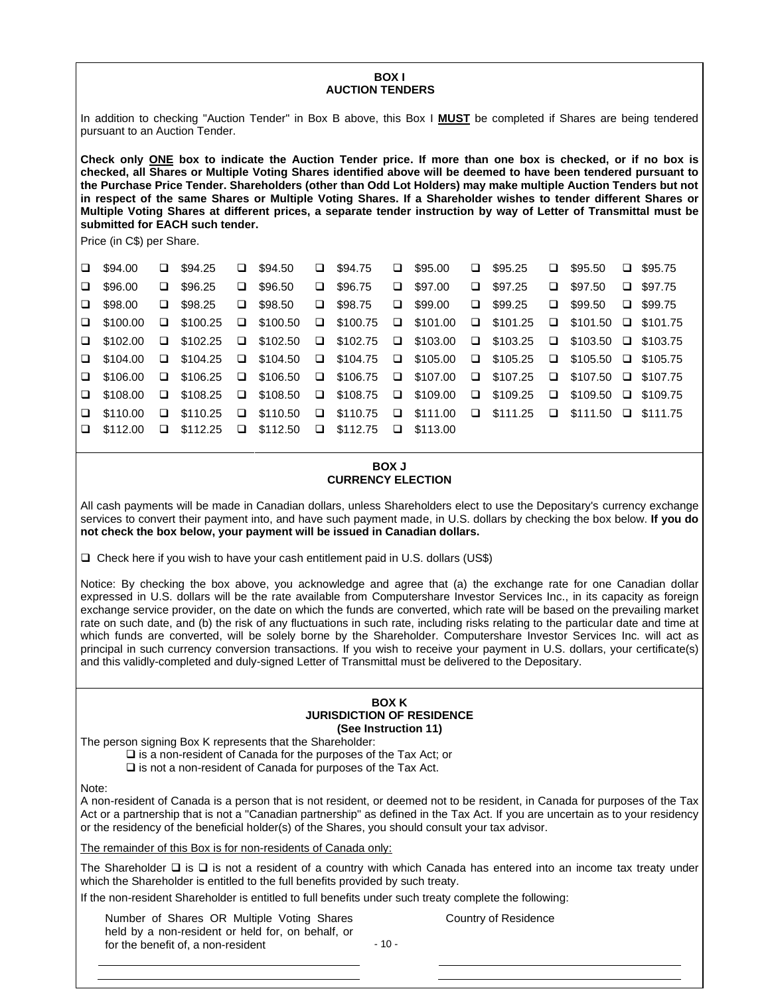#### **BOX I AUCTION TENDERS**

In addition to checking "Auction Tender" in Box B above, this Box I **MUST** be completed if Shares are being tendered pursuant to an Auction Tender.

**Check only ONE box to indicate the Auction Tender price. If more than one box is checked, or if no box is checked, all Shares or Multiple Voting Shares identified above will be deemed to have been tendered pursuant to the Purchase Price Tender. Shareholders (other than Odd Lot Holders) may make multiple Auction Tenders but not in respect of the same Shares or Multiple Voting Shares. If a Shareholder wishes to tender different Shares or Multiple Voting Shares at different prices, a separate tender instruction by way of Letter of Transmittal must be submitted for EACH such tender.**

Price (in C\$) per Share.

| $\Box$ \$94.00                                                                  | $\Box$ \$94.25  | $\Box$ \$94.50  | $\Box$ \$94.75  | $\Box$ \$95.00                                                                  | $\Box$ \$95.25                                                                                                  |        | $\Box$ \$95.50                  | $\Box$ \$95.75 |
|---------------------------------------------------------------------------------|-----------------|-----------------|-----------------|---------------------------------------------------------------------------------|-----------------------------------------------------------------------------------------------------------------|--------|---------------------------------|----------------|
| $\Box$ \$96.00                                                                  | $\Box$ \$96.25  | $\Box$ \$96.50  | $\Box$ \$96.75  | $\Box$ \$97.00                                                                  | $\Box$ \$97.25                                                                                                  | $\Box$ | \$97.50                         | $\Box$ \$97.75 |
| $\Box$ \$98.00                                                                  | $\Box$ \$98.25  | $\Box$ \$98.50  | $\Box$ \$98.75  | $\Box$ \$99.00                                                                  | $\Box$ \$99.25                                                                                                  |        | $\Box$ \$99.50                  | $\Box$ \$99.75 |
| $\Box$ \$100.00                                                                 | $\Box$ \$100.25 | $\Box$ \$100.50 | $\Box$ \$100.75 | $\Box$ \$101.00                                                                 | $\square$ \$101.25                                                                                              |        | $\Box$ \$101.50 $\Box$ \$101.75 |                |
| $\Box$ \$102.00                                                                 | $\Box$ \$102.25 |                 |                 | $\Box$ \$102.50 $\Box$ \$102.75 $\Box$ \$103.00 $\Box$ \$103.25                 |                                                                                                                 |        | $\Box$ \$103.50 $\Box$ \$103.75 |                |
| $\Box$ \$104.00                                                                 |                 |                 |                 |                                                                                 | $\Box$ \$104.25 $\Box$ \$104.50 $\Box$ \$104.75 $\Box$ \$105.00 $\Box$ \$105.25 $\Box$ \$105.50 $\Box$ \$105.75 |        |                                 |                |
| $\Box$ \$106.00                                                                 |                 |                 |                 | $\Box$ \$106.25 $\Box$ \$106.50 $\Box$ \$106.75 $\Box$ \$107.00 $\Box$ \$107.25 |                                                                                                                 |        | $\Box$ \$107.50 $\Box$ \$107.75 |                |
| $\Box$ \$108.00                                                                 |                 |                 |                 |                                                                                 | $\Box$ \$108.25 $\Box$ \$108.50 $\Box$ \$108.75 $\Box$ \$109.00 $\Box$ \$109.25 $\Box$ \$109.50 $\Box$ \$109.75 |        |                                 |                |
| $\Box$ \$110.00                                                                 | $\Box$ \$110.25 |                 |                 |                                                                                 | <b>a</b> \$110.50 <b>a</b> \$110.75 <b>a</b> \$111.00 <b>a</b> \$111.25 <b>a</b> \$111.50 <b>a</b> \$111.75     |        |                                 |                |
| $\Box$ \$112.00 $\Box$ \$112.25 $\Box$ \$112.50 $\Box$ \$112.75 $\Box$ \$113.00 |                 |                 |                 |                                                                                 |                                                                                                                 |        |                                 |                |

# **BOX J CURRENCY ELECTION**

All cash payments will be made in Canadian dollars, unless Shareholders elect to use the Depositary's currency exchange services to convert their payment into, and have such payment made, in U.S. dollars by checking the box below. **If you do not check the box below, your payment will be issued in Canadian dollars.**

❑ Check here if you wish to have your cash entitlement paid in U.S. dollars (US\$)

Notice: By checking the box above, you acknowledge and agree that (a) the exchange rate for one Canadian dollar expressed in U.S. dollars will be the rate available from Computershare Investor Services Inc., in its capacity as foreign exchange service provider, on the date on which the funds are converted, which rate will be based on the prevailing market rate on such date, and (b) the risk of any fluctuations in such rate, including risks relating to the particular date and time at which funds are converted, will be solely borne by the Shareholder. Computershare Investor Services Inc. will act as principal in such currency conversion transactions. If you wish to receive your payment in U.S. dollars, your certificate(s) and this validly-completed and duly-signed Letter of Transmittal must be delivered to the Depositary.

#### **BOX K JURISDICTION OF RESIDENCE (See Instruction 11)**

The person signing Box K represents that the Shareholder:

❑ is a non-resident of Canada for the purposes of the Tax Act; or

❑ is not a non-resident of Canada for purposes of the Tax Act.

Note:

A non-resident of Canada is a person that is not resident, or deemed not to be resident, in Canada for purposes of the Tax Act or a partnership that is not a "Canadian partnership" as defined in the Tax Act. If you are uncertain as to your residency or the residency of the beneficial holder(s) of the Shares, you should consult your tax advisor.

The remainder of this Box is for non-residents of Canada only:

The Shareholder ❑ is ❑ is not a resident of a country with which Canada has entered into an income tax treaty under which the Shareholder is entitled to the full benefits provided by such treaty.

If the non-resident Shareholder is entitled to full benefits under such treaty complete the following:

Number of Shares OR Multiple Voting Shares held by a non-resident or held for, on behalf, or for the benefit of, a non-resident

Country of Residence

 $-10 -$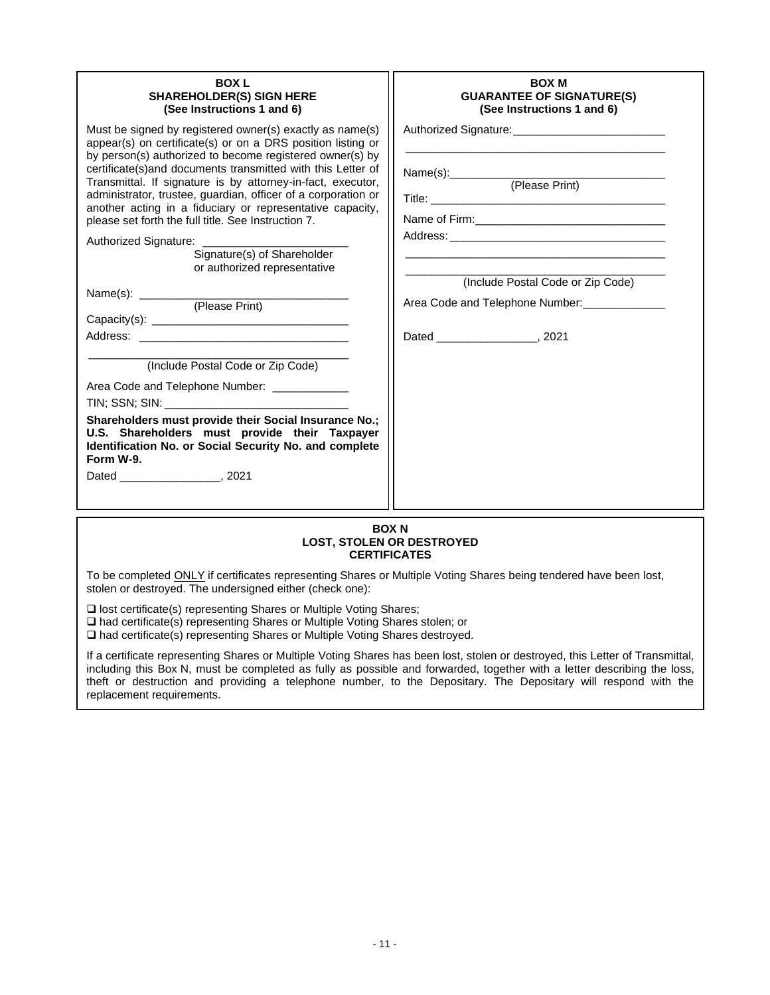| <b>BOXL</b><br><b>SHAREHOLDER(S) SIGN HERE</b><br>(See Instructions 1 and 6)<br>Must be signed by registered owner(s) exactly as name(s)<br>appear(s) on certificate(s) or on a DRS position listing or<br>by person(s) authorized to become registered owner(s) by<br>certificate(s)and documents transmitted with this Letter of<br>Transmittal. If signature is by attorney-in-fact, executor,<br>administrator, trustee, guardian, officer of a corporation or<br>another acting in a fiduciary or representative capacity,<br>please set forth the full title. See Instruction 7.<br>Authorized Signature: ______________<br>Signature(s) of Shareholder<br>or authorized representative<br>(Include Postal Code or Zip Code)<br>Area Code and Telephone Number: ____________<br>TIN; SSN; SIN: New York State State State State State State State State State State State State State State State State State State State State State State State State State State State State State State State State State<br>Shareholders must provide their Social Insurance No.;<br>U.S. Shareholders must provide their Taxpayer<br>Identification No. or Social Security No. and complete<br>Form W-9. | <b>BOX M</b><br><b>GUARANTEE OF SIGNATURE(S)</b><br>(See Instructions 1 and 6)<br>Name(s): (Please Print)<br>(Include Postal Code or Zip Code)<br>Area Code and Telephone Number: _____________ |  |  |  |  |  |  |
|------------------------------------------------------------------------------------------------------------------------------------------------------------------------------------------------------------------------------------------------------------------------------------------------------------------------------------------------------------------------------------------------------------------------------------------------------------------------------------------------------------------------------------------------------------------------------------------------------------------------------------------------------------------------------------------------------------------------------------------------------------------------------------------------------------------------------------------------------------------------------------------------------------------------------------------------------------------------------------------------------------------------------------------------------------------------------------------------------------------------------------------------------------------------------------------------------|-------------------------------------------------------------------------------------------------------------------------------------------------------------------------------------------------|--|--|--|--|--|--|
| Dated 7021                                                                                                                                                                                                                                                                                                                                                                                                                                                                                                                                                                                                                                                                                                                                                                                                                                                                                                                                                                                                                                                                                                                                                                                           |                                                                                                                                                                                                 |  |  |  |  |  |  |
| <b>DOV N</b>                                                                                                                                                                                                                                                                                                                                                                                                                                                                                                                                                                                                                                                                                                                                                                                                                                                                                                                                                                                                                                                                                                                                                                                         |                                                                                                                                                                                                 |  |  |  |  |  |  |

#### **BOX N LOST, STOLEN OR DESTROYED CERTIFICATES**

To be completed **ONLY** if certificates representing Shares or Multiple Voting Shares being tendered have been lost, stolen or destroyed. The undersigned either (check one):

❑ lost certificate(s) representing Shares or Multiple Voting Shares;

❑ had certificate(s) representing Shares or Multiple Voting Shares stolen; or

❑ had certificate(s) representing Shares or Multiple Voting Shares destroyed.

If a certificate representing Shares or Multiple Voting Shares has been lost, stolen or destroyed, this Letter of Transmittal, including this Box N, must be completed as fully as possible and forwarded, together with a letter describing the loss, theft or destruction and providing a telephone number, to the Depositary. The Depositary will respond with the replacement requirements.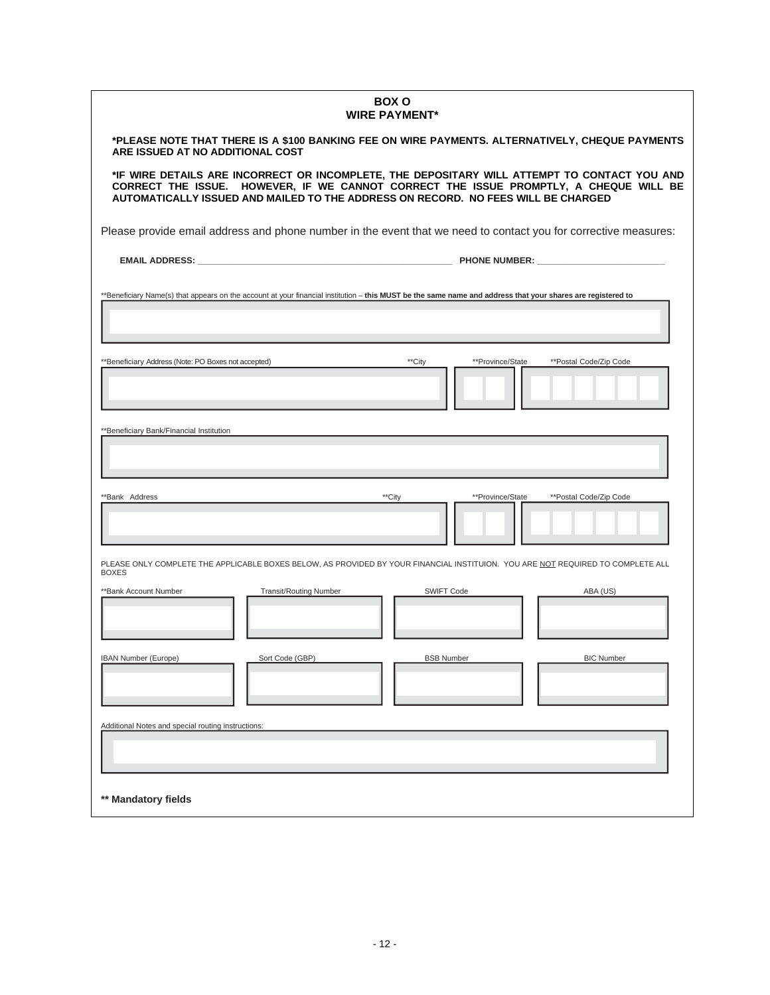| <b>BOX O</b><br><b>WIRE PAYMENT*</b>                                                                                                                                                                                                                                       |                                                    |                                            |                   |  |  |  |  |  |
|----------------------------------------------------------------------------------------------------------------------------------------------------------------------------------------------------------------------------------------------------------------------------|----------------------------------------------------|--------------------------------------------|-------------------|--|--|--|--|--|
| *PLEASE NOTE THAT THERE IS A \$100 BANKING FEE ON WIRE PAYMENTS. ALTERNATIVELY, CHEQUE PAYMENTS<br>ARE ISSUED AT NO ADDITIONAL COST                                                                                                                                        |                                                    |                                            |                   |  |  |  |  |  |
| *IF WIRE DETAILS ARE INCORRECT OR INCOMPLETE, THE DEPOSITARY WILL ATTEMPT TO CONTACT YOU AND<br>CORRECT THE ISSUE. HOWEVER, IF WE CANNOT CORRECT THE ISSUE PROMPTLY, A CHEQUE WILL BE<br>AUTOMATICALLY ISSUED AND MAILED TO THE ADDRESS ON RECORD. NO FEES WILL BE CHARGED |                                                    |                                            |                   |  |  |  |  |  |
| Please provide email address and phone number in the event that we need to contact you for corrective measures:                                                                                                                                                            |                                                    |                                            |                   |  |  |  |  |  |
| EMAIL ADDRESS: The contract of the contract of the contract of the contract of the contract of the contract of the contract of the contract of the contract of the contract of the contract of the contract of the contract of                                             |                                                    |                                            |                   |  |  |  |  |  |
| **Beneficiary Name(s) that appears on the account at your financial institution - this MUST be the same name and address that your shares are registered to                                                                                                                |                                                    |                                            |                   |  |  |  |  |  |
|                                                                                                                                                                                                                                                                            |                                                    |                                            |                   |  |  |  |  |  |
| **Beneficiary Address (Note: PO Boxes not accepted)                                                                                                                                                                                                                        | **City                                             | **Province/State<br>**Postal Code/Zip Code |                   |  |  |  |  |  |
|                                                                                                                                                                                                                                                                            |                                                    |                                            |                   |  |  |  |  |  |
| **Beneficiary Bank/Financial Institution                                                                                                                                                                                                                                   |                                                    |                                            |                   |  |  |  |  |  |
|                                                                                                                                                                                                                                                                            |                                                    |                                            |                   |  |  |  |  |  |
| **Bank Address                                                                                                                                                                                                                                                             | **City                                             | **Province/State<br>**Postal Code/Zip Code |                   |  |  |  |  |  |
|                                                                                                                                                                                                                                                                            |                                                    |                                            |                   |  |  |  |  |  |
| PLEASE ONLY COMPLETE THE APPLICABLE BOXES BELOW, AS PROVIDED BY YOUR FINANCIAL INSTITUION. YOU ARE NOT REQUIRED TO COMPLETE ALL<br><b>BOXES</b>                                                                                                                            |                                                    |                                            |                   |  |  |  |  |  |
| **Bank Account Number                                                                                                                                                                                                                                                      | <b>SWIFT Code</b><br><b>Transit/Routing Number</b> |                                            | ABA (US)          |  |  |  |  |  |
|                                                                                                                                                                                                                                                                            |                                                    |                                            |                   |  |  |  |  |  |
| <b>IBAN Number (Europe)</b><br>Sort Code (GBP)                                                                                                                                                                                                                             | <b>BSB Number</b>                                  |                                            | <b>BIC Number</b> |  |  |  |  |  |
|                                                                                                                                                                                                                                                                            |                                                    |                                            |                   |  |  |  |  |  |
| Additional Notes and special routing instructions:                                                                                                                                                                                                                         |                                                    |                                            |                   |  |  |  |  |  |
|                                                                                                                                                                                                                                                                            |                                                    |                                            |                   |  |  |  |  |  |
| ** Mandatory fields                                                                                                                                                                                                                                                        |                                                    |                                            |                   |  |  |  |  |  |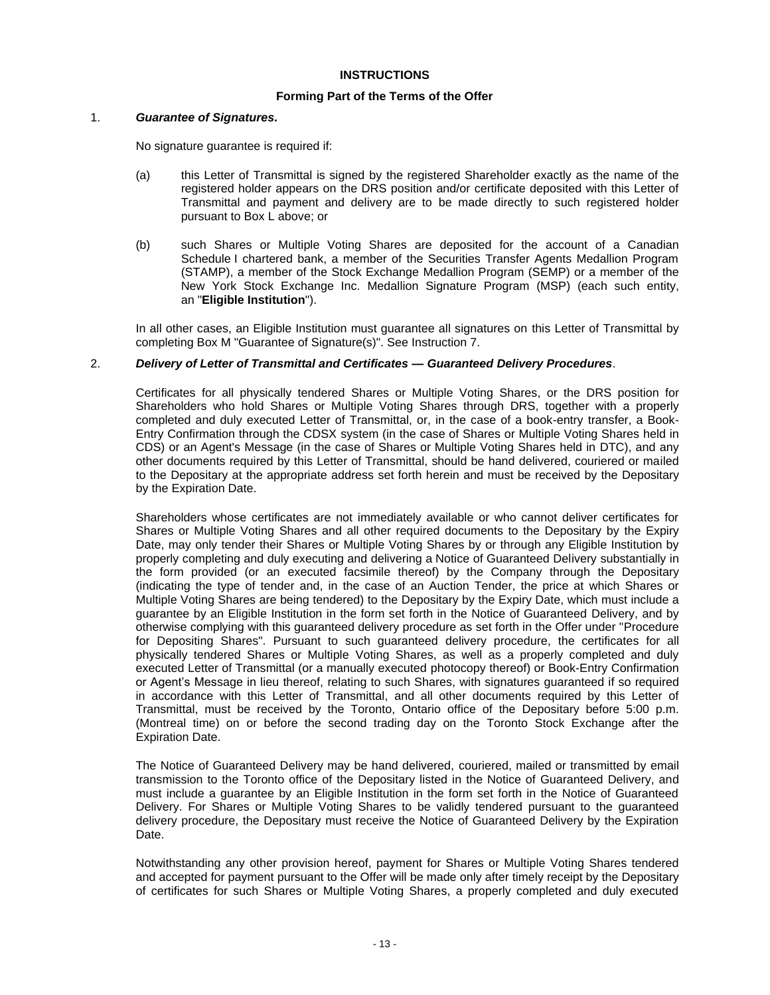#### **INSTRUCTIONS**

#### **Forming Part of the Terms of the Offer**

#### 1. *Guarantee of Signatures.*

No signature guarantee is required if:

- (a) this Letter of Transmittal is signed by the registered Shareholder exactly as the name of the registered holder appears on the DRS position and/or certificate deposited with this Letter of Transmittal and payment and delivery are to be made directly to such registered holder pursuant to Box L above; or
- (b) such Shares or Multiple Voting Shares are deposited for the account of a Canadian Schedule I chartered bank, a member of the Securities Transfer Agents Medallion Program (STAMP), a member of the Stock Exchange Medallion Program (SEMP) or a member of the New York Stock Exchange Inc. Medallion Signature Program (MSP) (each such entity, an "**Eligible Institution**").

In all other cases, an Eligible Institution must guarantee all signatures on this Letter of Transmittal by completing Box M "Guarantee of Signature(s)". See Instruction 7.

#### 2. *Delivery of Letter of Transmittal and Certificates — Guaranteed Delivery Procedures*.

Certificates for all physically tendered Shares or Multiple Voting Shares, or the DRS position for Shareholders who hold Shares or Multiple Voting Shares through DRS, together with a properly completed and duly executed Letter of Transmittal, or, in the case of a book-entry transfer, a Book-Entry Confirmation through the CDSX system (in the case of Shares or Multiple Voting Shares held in CDS) or an Agent's Message (in the case of Shares or Multiple Voting Shares held in DTC), and any other documents required by this Letter of Transmittal, should be hand delivered, couriered or mailed to the Depositary at the appropriate address set forth herein and must be received by the Depositary by the Expiration Date.

Shareholders whose certificates are not immediately available or who cannot deliver certificates for Shares or Multiple Voting Shares and all other required documents to the Depositary by the Expiry Date, may only tender their Shares or Multiple Voting Shares by or through any Eligible Institution by properly completing and duly executing and delivering a Notice of Guaranteed Delivery substantially in the form provided (or an executed facsimile thereof) by the Company through the Depositary (indicating the type of tender and, in the case of an Auction Tender, the price at which Shares or Multiple Voting Shares are being tendered) to the Depositary by the Expiry Date, which must include a guarantee by an Eligible Institution in the form set forth in the Notice of Guaranteed Delivery, and by otherwise complying with this guaranteed delivery procedure as set forth in the Offer under "Procedure for Depositing Shares". Pursuant to such guaranteed delivery procedure, the certificates for all physically tendered Shares or Multiple Voting Shares, as well as a properly completed and duly executed Letter of Transmittal (or a manually executed photocopy thereof) or Book-Entry Confirmation or Agent's Message in lieu thereof, relating to such Shares, with signatures guaranteed if so required in accordance with this Letter of Transmittal, and all other documents required by this Letter of Transmittal, must be received by the Toronto, Ontario office of the Depositary before 5:00 p.m. (Montreal time) on or before the second trading day on the Toronto Stock Exchange after the Expiration Date.

The Notice of Guaranteed Delivery may be hand delivered, couriered, mailed or transmitted by email transmission to the Toronto office of the Depositary listed in the Notice of Guaranteed Delivery, and must include a guarantee by an Eligible Institution in the form set forth in the Notice of Guaranteed Delivery. For Shares or Multiple Voting Shares to be validly tendered pursuant to the guaranteed delivery procedure, the Depositary must receive the Notice of Guaranteed Delivery by the Expiration Date.

Notwithstanding any other provision hereof, payment for Shares or Multiple Voting Shares tendered and accepted for payment pursuant to the Offer will be made only after timely receipt by the Depositary of certificates for such Shares or Multiple Voting Shares, a properly completed and duly executed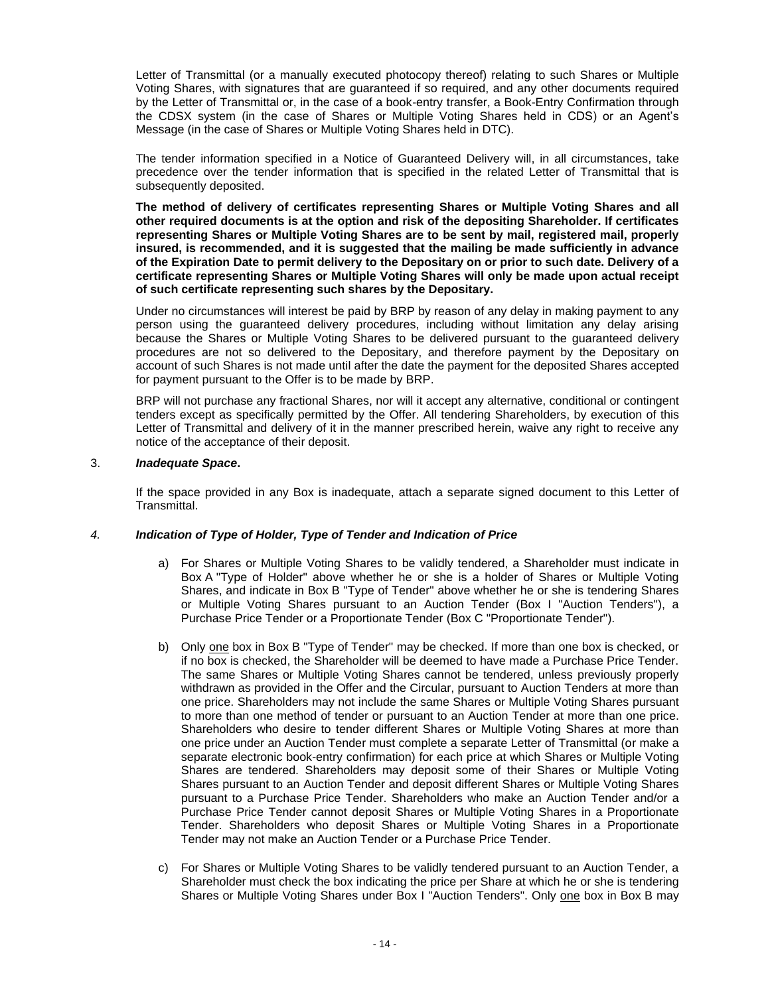Letter of Transmittal (or a manually executed photocopy thereof) relating to such Shares or Multiple Voting Shares, with signatures that are guaranteed if so required, and any other documents required by the Letter of Transmittal or, in the case of a book-entry transfer, a Book-Entry Confirmation through the CDSX system (in the case of Shares or Multiple Voting Shares held in CDS) or an Agent's Message (in the case of Shares or Multiple Voting Shares held in DTC).

The tender information specified in a Notice of Guaranteed Delivery will, in all circumstances, take precedence over the tender information that is specified in the related Letter of Transmittal that is subsequently deposited.

**The method of delivery of certificates representing Shares or Multiple Voting Shares and all other required documents is at the option and risk of the depositing Shareholder. If certificates representing Shares or Multiple Voting Shares are to be sent by mail, registered mail, properly insured, is recommended, and it is suggested that the mailing be made sufficiently in advance of the Expiration Date to permit delivery to the Depositary on or prior to such date. Delivery of a certificate representing Shares or Multiple Voting Shares will only be made upon actual receipt of such certificate representing such shares by the Depositary.**

Under no circumstances will interest be paid by BRP by reason of any delay in making payment to any person using the guaranteed delivery procedures, including without limitation any delay arising because the Shares or Multiple Voting Shares to be delivered pursuant to the guaranteed delivery procedures are not so delivered to the Depositary, and therefore payment by the Depositary on account of such Shares is not made until after the date the payment for the deposited Shares accepted for payment pursuant to the Offer is to be made by BRP.

BRP will not purchase any fractional Shares, nor will it accept any alternative, conditional or contingent tenders except as specifically permitted by the Offer. All tendering Shareholders, by execution of this Letter of Transmittal and delivery of it in the manner prescribed herein, waive any right to receive any notice of the acceptance of their deposit.

### 3. *Inadequate Space***.**

If the space provided in any Box is inadequate, attach a separate signed document to this Letter of Transmittal.

# *4. Indication of Type of Holder, Type of Tender and Indication of Price*

- a) For Shares or Multiple Voting Shares to be validly tendered, a Shareholder must indicate in Box A "Type of Holder" above whether he or she is a holder of Shares or Multiple Voting Shares, and indicate in Box B "Type of Tender" above whether he or she is tendering Shares or Multiple Voting Shares pursuant to an Auction Tender (Box I "Auction Tenders"), a Purchase Price Tender or a Proportionate Tender (Box C "Proportionate Tender").
- b) Only one box in Box B "Type of Tender" may be checked. If more than one box is checked, or if no box is checked, the Shareholder will be deemed to have made a Purchase Price Tender. The same Shares or Multiple Voting Shares cannot be tendered, unless previously properly withdrawn as provided in the Offer and the Circular, pursuant to Auction Tenders at more than one price. Shareholders may not include the same Shares or Multiple Voting Shares pursuant to more than one method of tender or pursuant to an Auction Tender at more than one price. Shareholders who desire to tender different Shares or Multiple Voting Shares at more than one price under an Auction Tender must complete a separate Letter of Transmittal (or make a separate electronic book-entry confirmation) for each price at which Shares or Multiple Voting Shares are tendered. Shareholders may deposit some of their Shares or Multiple Voting Shares pursuant to an Auction Tender and deposit different Shares or Multiple Voting Shares pursuant to a Purchase Price Tender. Shareholders who make an Auction Tender and/or a Purchase Price Tender cannot deposit Shares or Multiple Voting Shares in a Proportionate Tender. Shareholders who deposit Shares or Multiple Voting Shares in a Proportionate Tender may not make an Auction Tender or a Purchase Price Tender.
- c) For Shares or Multiple Voting Shares to be validly tendered pursuant to an Auction Tender, a Shareholder must check the box indicating the price per Share at which he or she is tendering Shares or Multiple Voting Shares under Box I "Auction Tenders". Only one box in Box B may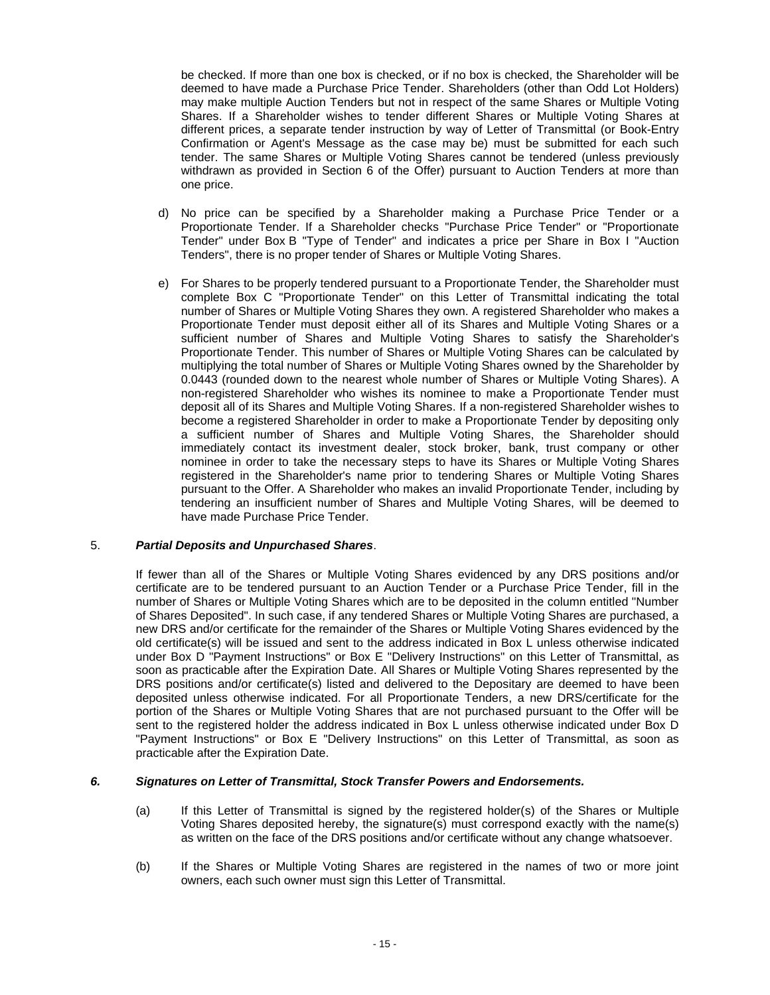be checked. If more than one box is checked, or if no box is checked, the Shareholder will be deemed to have made a Purchase Price Tender. Shareholders (other than Odd Lot Holders) may make multiple Auction Tenders but not in respect of the same Shares or Multiple Voting Shares. If a Shareholder wishes to tender different Shares or Multiple Voting Shares at different prices, a separate tender instruction by way of Letter of Transmittal (or Book-Entry Confirmation or Agent's Message as the case may be) must be submitted for each such tender. The same Shares or Multiple Voting Shares cannot be tendered (unless previously withdrawn as provided in Section 6 of the Offer) pursuant to Auction Tenders at more than one price.

- d) No price can be specified by a Shareholder making a Purchase Price Tender or a Proportionate Tender. If a Shareholder checks "Purchase Price Tender" or "Proportionate Tender" under Box B "Type of Tender" and indicates a price per Share in Box I "Auction Tenders", there is no proper tender of Shares or Multiple Voting Shares.
- e) For Shares to be properly tendered pursuant to a Proportionate Tender, the Shareholder must complete Box C "Proportionate Tender" on this Letter of Transmittal indicating the total number of Shares or Multiple Voting Shares they own. A registered Shareholder who makes a Proportionate Tender must deposit either all of its Shares and Multiple Voting Shares or a sufficient number of Shares and Multiple Voting Shares to satisfy the Shareholder's Proportionate Tender. This number of Shares or Multiple Voting Shares can be calculated by multiplying the total number of Shares or Multiple Voting Shares owned by the Shareholder by 0.0443 (rounded down to the nearest whole number of Shares or Multiple Voting Shares). A non-registered Shareholder who wishes its nominee to make a Proportionate Tender must deposit all of its Shares and Multiple Voting Shares. If a non-registered Shareholder wishes to become a registered Shareholder in order to make a Proportionate Tender by depositing only a sufficient number of Shares and Multiple Voting Shares, the Shareholder should immediately contact its investment dealer, stock broker, bank, trust company or other nominee in order to take the necessary steps to have its Shares or Multiple Voting Shares registered in the Shareholder's name prior to tendering Shares or Multiple Voting Shares pursuant to the Offer. A Shareholder who makes an invalid Proportionate Tender, including by tendering an insufficient number of Shares and Multiple Voting Shares, will be deemed to have made Purchase Price Tender.

#### 5. *Partial Deposits and Unpurchased Shares*.

If fewer than all of the Shares or Multiple Voting Shares evidenced by any DRS positions and/or certificate are to be tendered pursuant to an Auction Tender or a Purchase Price Tender, fill in the number of Shares or Multiple Voting Shares which are to be deposited in the column entitled "Number of Shares Deposited". In such case, if any tendered Shares or Multiple Voting Shares are purchased, a new DRS and/or certificate for the remainder of the Shares or Multiple Voting Shares evidenced by the old certificate(s) will be issued and sent to the address indicated in Box L unless otherwise indicated under Box D "Payment Instructions" or Box E "Delivery Instructions" on this Letter of Transmittal, as soon as practicable after the Expiration Date. All Shares or Multiple Voting Shares represented by the DRS positions and/or certificate(s) listed and delivered to the Depositary are deemed to have been deposited unless otherwise indicated. For all Proportionate Tenders, a new DRS/certificate for the portion of the Shares or Multiple Voting Shares that are not purchased pursuant to the Offer will be sent to the registered holder the address indicated in Box L unless otherwise indicated under Box D "Payment Instructions" or Box E "Delivery Instructions" on this Letter of Transmittal, as soon as practicable after the Expiration Date.

# *6. Signatures on Letter of Transmittal, Stock Transfer Powers and Endorsements.*

- (a) If this Letter of Transmittal is signed by the registered holder(s) of the Shares or Multiple Voting Shares deposited hereby, the signature(s) must correspond exactly with the name(s) as written on the face of the DRS positions and/or certificate without any change whatsoever.
- (b) If the Shares or Multiple Voting Shares are registered in the names of two or more joint owners, each such owner must sign this Letter of Transmittal.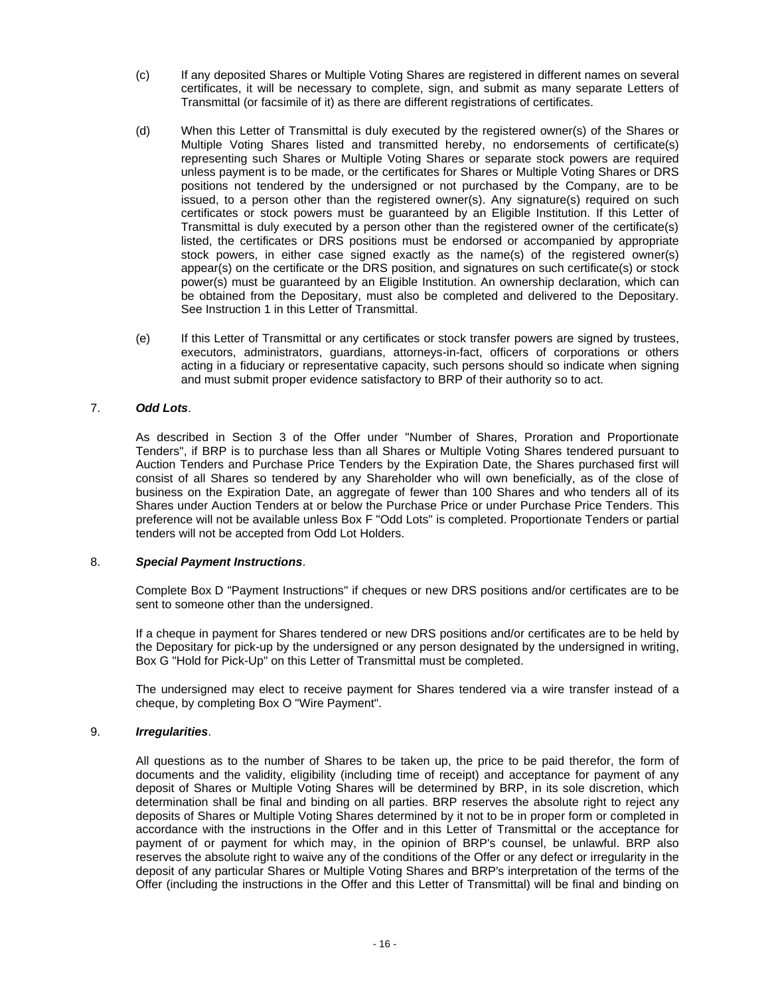- (c) If any deposited Shares or Multiple Voting Shares are registered in different names on several certificates, it will be necessary to complete, sign, and submit as many separate Letters of Transmittal (or facsimile of it) as there are different registrations of certificates.
- (d) When this Letter of Transmittal is duly executed by the registered owner(s) of the Shares or Multiple Voting Shares listed and transmitted hereby, no endorsements of certificate(s) representing such Shares or Multiple Voting Shares or separate stock powers are required unless payment is to be made, or the certificates for Shares or Multiple Voting Shares or DRS positions not tendered by the undersigned or not purchased by the Company, are to be issued, to a person other than the registered owner(s). Any signature(s) required on such certificates or stock powers must be guaranteed by an Eligible Institution. If this Letter of Transmittal is duly executed by a person other than the registered owner of the certificate(s) listed, the certificates or DRS positions must be endorsed or accompanied by appropriate stock powers, in either case signed exactly as the name(s) of the registered owner(s) appear(s) on the certificate or the DRS position, and signatures on such certificate(s) or stock power(s) must be guaranteed by an Eligible Institution. An ownership declaration, which can be obtained from the Depositary, must also be completed and delivered to the Depositary. See Instruction 1 in this Letter of Transmittal.
- (e) If this Letter of Transmittal or any certificates or stock transfer powers are signed by trustees, executors, administrators, guardians, attorneys-in-fact, officers of corporations or others acting in a fiduciary or representative capacity, such persons should so indicate when signing and must submit proper evidence satisfactory to BRP of their authority so to act.

# 7. *Odd Lots*.

As described in Section 3 of the Offer under "Number of Shares, Proration and Proportionate Tenders", if BRP is to purchase less than all Shares or Multiple Voting Shares tendered pursuant to Auction Tenders and Purchase Price Tenders by the Expiration Date, the Shares purchased first will consist of all Shares so tendered by any Shareholder who will own beneficially, as of the close of business on the Expiration Date, an aggregate of fewer than 100 Shares and who tenders all of its Shares under Auction Tenders at or below the Purchase Price or under Purchase Price Tenders. This preference will not be available unless Box F "Odd Lots" is completed. Proportionate Tenders or partial tenders will not be accepted from Odd Lot Holders.

# 8. *Special Payment Instructions*.

Complete Box D "Payment Instructions" if cheques or new DRS positions and/or certificates are to be sent to someone other than the undersigned.

If a cheque in payment for Shares tendered or new DRS positions and/or certificates are to be held by the Depositary for pick-up by the undersigned or any person designated by the undersigned in writing, Box G "Hold for Pick-Up" on this Letter of Transmittal must be completed.

The undersigned may elect to receive payment for Shares tendered via a wire transfer instead of a cheque, by completing Box O "Wire Payment".

# 9. *Irregularities*.

All questions as to the number of Shares to be taken up, the price to be paid therefor, the form of documents and the validity, eligibility (including time of receipt) and acceptance for payment of any deposit of Shares or Multiple Voting Shares will be determined by BRP, in its sole discretion, which determination shall be final and binding on all parties. BRP reserves the absolute right to reject any deposits of Shares or Multiple Voting Shares determined by it not to be in proper form or completed in accordance with the instructions in the Offer and in this Letter of Transmittal or the acceptance for payment of or payment for which may, in the opinion of BRP's counsel, be unlawful. BRP also reserves the absolute right to waive any of the conditions of the Offer or any defect or irregularity in the deposit of any particular Shares or Multiple Voting Shares and BRP's interpretation of the terms of the Offer (including the instructions in the Offer and this Letter of Transmittal) will be final and binding on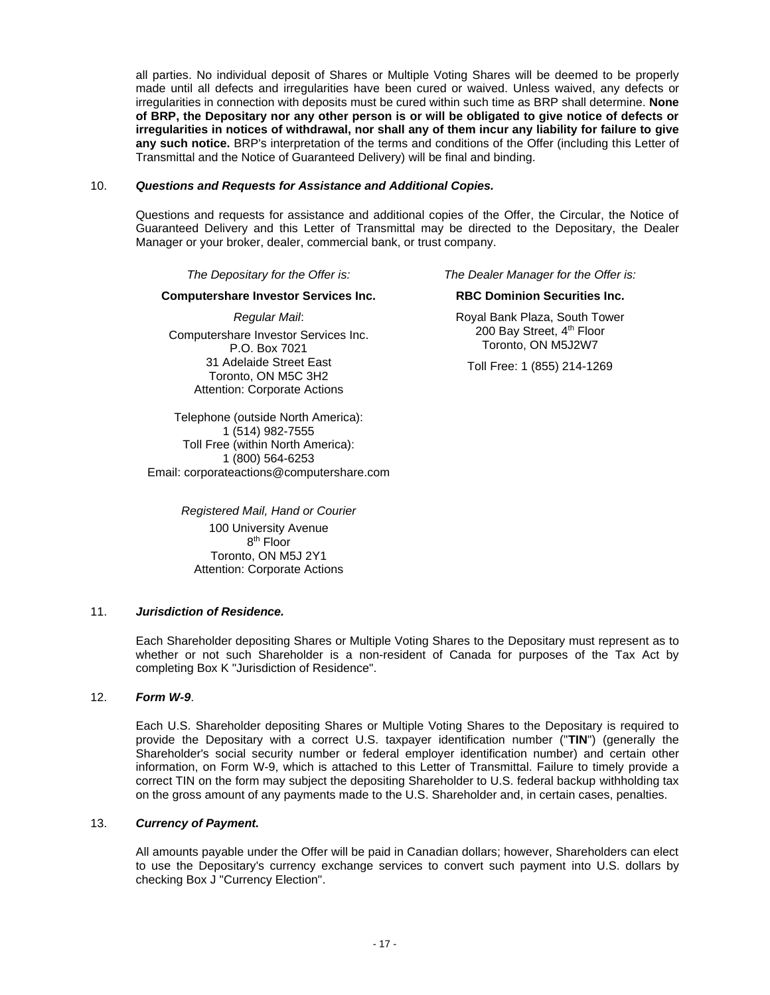all parties. No individual deposit of Shares or Multiple Voting Shares will be deemed to be properly made until all defects and irregularities have been cured or waived. Unless waived, any defects or irregularities in connection with deposits must be cured within such time as BRP shall determine. **None of BRP, the Depositary nor any other person is or will be obligated to give notice of defects or irregularities in notices of withdrawal, nor shall any of them incur any liability for failure to give any such notice.** BRP's interpretation of the terms and conditions of the Offer (including this Letter of Transmittal and the Notice of Guaranteed Delivery) will be final and binding.

#### 10. *Questions and Requests for Assistance and Additional Copies.*

Questions and requests for assistance and additional copies of the Offer, the Circular, the Notice of Guaranteed Delivery and this Letter of Transmittal may be directed to the Depositary, the Dealer Manager or your broker, dealer, commercial bank, or trust company.

#### **Computershare Investor Services Inc. RBC Dominion Securities Inc.**

*Regular Mail*: Computershare Investor Services Inc. P.O. Box 7021 31 Adelaide Street East Toronto, ON M5C 3H2 Attention: Corporate Actions

Telephone (outside North America): 1 (514) 982-7555 Toll Free (within North America): 1 (800) 564-6253 Email: corporateactions@computershare.com

> *Registered Mail, Hand or Courier* 100 University Avenue 8<sup>th</sup> Floor Toronto, ON M5J 2Y1 Attention: Corporate Actions

*The Depositary for the Offer is: The Dealer Manager for the Offer is:*

Royal Bank Plaza, South Tower 200 Bay Street, 4<sup>th</sup> Floor Toronto, ON M5J2W7

Toll Free: 1 (855) 214-1269

# 11. *Jurisdiction of Residence.*

Each Shareholder depositing Shares or Multiple Voting Shares to the Depositary must represent as to whether or not such Shareholder is a non-resident of Canada for purposes of the Tax Act by completing Box K "Jurisdiction of Residence".

# 12. *Form W-9*.

Each U.S. Shareholder depositing Shares or Multiple Voting Shares to the Depositary is required to provide the Depositary with a correct U.S. taxpayer identification number ("**TIN**") (generally the Shareholder's social security number or federal employer identification number) and certain other information, on Form W-9, which is attached to this Letter of Transmittal. Failure to timely provide a correct TIN on the form may subject the depositing Shareholder to U.S. federal backup withholding tax on the gross amount of any payments made to the U.S. Shareholder and, in certain cases, penalties.

# 13. *Currency of Payment.*

All amounts payable under the Offer will be paid in Canadian dollars; however, Shareholders can elect to use the Depositary's currency exchange services to convert such payment into U.S. dollars by checking Box J "Currency Election".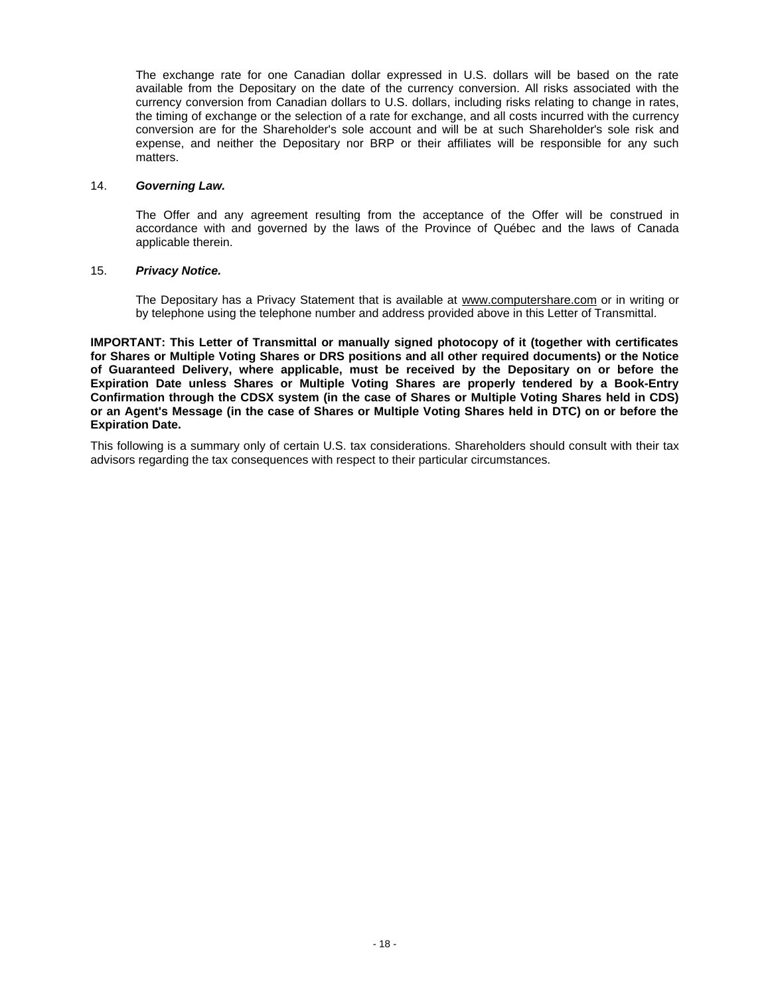The exchange rate for one Canadian dollar expressed in U.S. dollars will be based on the rate available from the Depositary on the date of the currency conversion. All risks associated with the currency conversion from Canadian dollars to U.S. dollars, including risks relating to change in rates, the timing of exchange or the selection of a rate for exchange, and all costs incurred with the currency conversion are for the Shareholder's sole account and will be at such Shareholder's sole risk and expense, and neither the Depositary nor BRP or their affiliates will be responsible for any such matters.

#### 14. *Governing Law.*

The Offer and any agreement resulting from the acceptance of the Offer will be construed in accordance with and governed by the laws of the Province of Québec and the laws of Canada applicable therein.

# 15. *Privacy Notice.*

The Depositary has a Privacy Statement that is available at www.computershare.com or in writing or by telephone using the telephone number and address provided above in this Letter of Transmittal.

**IMPORTANT: This Letter of Transmittal or manually signed photocopy of it (together with certificates for Shares or Multiple Voting Shares or DRS positions and all other required documents) or the Notice of Guaranteed Delivery, where applicable, must be received by the Depositary on or before the Expiration Date unless Shares or Multiple Voting Shares are properly tendered by a Book-Entry Confirmation through the CDSX system (in the case of Shares or Multiple Voting Shares held in CDS) or an Agent's Message (in the case of Shares or Multiple Voting Shares held in DTC) on or before the Expiration Date.**

This following is a summary only of certain U.S. tax considerations. Shareholders should consult with their tax advisors regarding the tax consequences with respect to their particular circumstances.